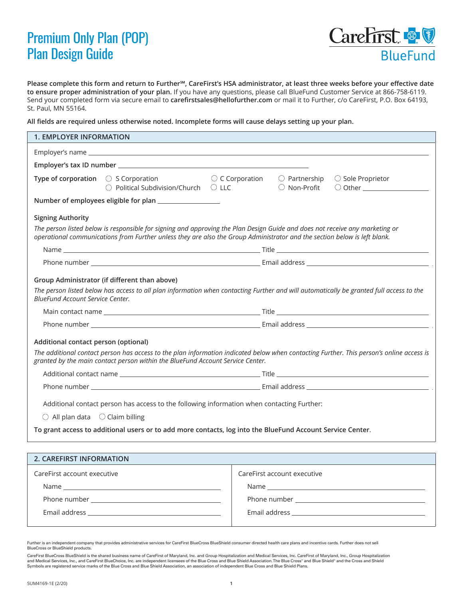## Premium Only Plan (POP) Plan Design Guide



**Please complete this form and return to Further℠, CareFirst's HSA administrator, at least three weeks before your effective date to ensure proper administration of your plan.** If you have any questions, please call BlueFund Customer Service at 866-758-6119. Send your completed form via secure email to **c[arefirstsales@hellofurther.com](mailto:carefirstsales%40hellofurther.com?subject=)** or mail it to Further, c/o CareFirst, P.O. Box 64193, St. Paul, MN 55164.

**All fields are required unless otherwise noted. Incomplete forms will cause delays setting up your plan.**

| <b>1. EMPLOYER INFORMATION</b>                                                                                                                                                                                                                                     |                                                                                                               |                          |                                                                                                                                                                                                                                |                   |  |
|--------------------------------------------------------------------------------------------------------------------------------------------------------------------------------------------------------------------------------------------------------------------|---------------------------------------------------------------------------------------------------------------|--------------------------|--------------------------------------------------------------------------------------------------------------------------------------------------------------------------------------------------------------------------------|-------------------|--|
|                                                                                                                                                                                                                                                                    |                                                                                                               |                          |                                                                                                                                                                                                                                |                   |  |
|                                                                                                                                                                                                                                                                    |                                                                                                               |                          |                                                                                                                                                                                                                                |                   |  |
|                                                                                                                                                                                                                                                                    | <b>Type of corporation</b> $\bigcirc$ S Corporation<br>$\bigcirc$ Political Subdivision/Church $\bigcirc$ LLC | $\bigcirc$ C Corporation | $\bigcirc$ Partnership<br>○ Non-Profit                                                                                                                                                                                         | ○ Sole Proprietor |  |
|                                                                                                                                                                                                                                                                    |                                                                                                               |                          |                                                                                                                                                                                                                                |                   |  |
| <b>Signing Authority</b>                                                                                                                                                                                                                                           |                                                                                                               |                          |                                                                                                                                                                                                                                |                   |  |
| The person listed below is responsible for signing and approving the Plan Design Guide and does not receive any marketing or<br>operational communications from Further unless they are also the Group Administrator and the section below is left blank.          |                                                                                                               |                          |                                                                                                                                                                                                                                |                   |  |
|                                                                                                                                                                                                                                                                    |                                                                                                               |                          |                                                                                                                                                                                                                                |                   |  |
|                                                                                                                                                                                                                                                                    |                                                                                                               |                          |                                                                                                                                                                                                                                |                   |  |
| Group Administrator (if different than above)<br>The person listed below has access to all plan information when contacting Further and will automatically be granted full access to the<br>BlueFund Account Service Center.                                       |                                                                                                               |                          |                                                                                                                                                                                                                                |                   |  |
|                                                                                                                                                                                                                                                                    |                                                                                                               |                          |                                                                                                                                                                                                                                |                   |  |
|                                                                                                                                                                                                                                                                    |                                                                                                               |                          |                                                                                                                                                                                                                                |                   |  |
| Additional contact person (optional)<br>The additional contact person has access to the plan information indicated below when contacting Further. This person's online access is<br>granted by the main contact person within the BlueFund Account Service Center. |                                                                                                               |                          |                                                                                                                                                                                                                                |                   |  |
|                                                                                                                                                                                                                                                                    |                                                                                                               |                          |                                                                                                                                                                                                                                |                   |  |
|                                                                                                                                                                                                                                                                    |                                                                                                               |                          |                                                                                                                                                                                                                                |                   |  |
| Additional contact person has access to the following information when contacting Further:<br>$\bigcirc$ All plan data $\bigcirc$ Claim billing<br>To grant access to additional users or to add more contacts, log into the BlueFund Account Service Center.      |                                                                                                               |                          |                                                                                                                                                                                                                                |                   |  |
|                                                                                                                                                                                                                                                                    |                                                                                                               |                          |                                                                                                                                                                                                                                |                   |  |
| 2. CAREFIRST INFORMATION                                                                                                                                                                                                                                           |                                                                                                               |                          |                                                                                                                                                                                                                                |                   |  |
| CareFirst account executive                                                                                                                                                                                                                                        |                                                                                                               |                          | CareFirst account executive                                                                                                                                                                                                    |                   |  |
| Name and the contract of the contract of the contract of the contract of the contract of the contract of the contract of the contract of the contract of the contract of the contract of the contract of the contract of the c                                     |                                                                                                               |                          | Name and the state of the state of the state of the state of the state of the state of the state of the state of the state of the state of the state of the state of the state of the state of the state of the state of the s |                   |  |
|                                                                                                                                                                                                                                                                    |                                                                                                               |                          |                                                                                                                                                                                                                                |                   |  |

Email address

Further is an independent company that provides administrative services for CareFirst BlueCross BlueShield consumer directed health care plans and incentive cards. Further does not sell BlueCross or BlueShield products.

CareFirst BlueCross BlueShield is the shared business name of CareFirst of Maryland, Inc. and Group Hospitalization and Medical Services, Inc. CareFirst of Maryland, Inc., Group Hospitalization and Medical Services, Inc., and CareFirst BlueChoice, Inc. are independent licensees of the Blue Cross and Blue Shield Association. The Blue Cross® and Blue Shield® and the Cross and Blue Shield® and the Cross® and Shield Symbols are registered service marks of the Blue Cross and Blue Shield Association, an association of independent Blue Cross and Blue Shield Plans.

Email address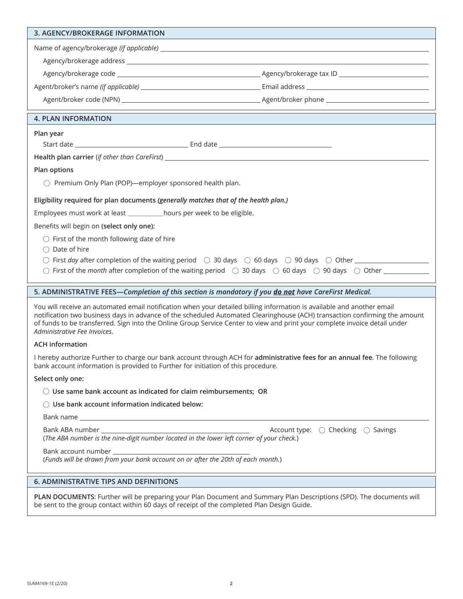| 3. AGENCY/BROKERAGE INFORMATION                                                                                                                             |                                                                                                                                                                                                                                                                                                                                                                                    |  |  |  |  |
|-------------------------------------------------------------------------------------------------------------------------------------------------------------|------------------------------------------------------------------------------------------------------------------------------------------------------------------------------------------------------------------------------------------------------------------------------------------------------------------------------------------------------------------------------------|--|--|--|--|
|                                                                                                                                                             |                                                                                                                                                                                                                                                                                                                                                                                    |  |  |  |  |
|                                                                                                                                                             |                                                                                                                                                                                                                                                                                                                                                                                    |  |  |  |  |
|                                                                                                                                                             |                                                                                                                                                                                                                                                                                                                                                                                    |  |  |  |  |
|                                                                                                                                                             |                                                                                                                                                                                                                                                                                                                                                                                    |  |  |  |  |
|                                                                                                                                                             |                                                                                                                                                                                                                                                                                                                                                                                    |  |  |  |  |
| <b>4. PLAN INFORMATION</b>                                                                                                                                  |                                                                                                                                                                                                                                                                                                                                                                                    |  |  |  |  |
| Plan year                                                                                                                                                   |                                                                                                                                                                                                                                                                                                                                                                                    |  |  |  |  |
|                                                                                                                                                             |                                                                                                                                                                                                                                                                                                                                                                                    |  |  |  |  |
| Health plan carrier (if other than CareFirst) ___________________________________                                                                           |                                                                                                                                                                                                                                                                                                                                                                                    |  |  |  |  |
| Plan options                                                                                                                                                |                                                                                                                                                                                                                                                                                                                                                                                    |  |  |  |  |
| ○ Premium Only Plan (POP)—employer sponsored health plan.                                                                                                   |                                                                                                                                                                                                                                                                                                                                                                                    |  |  |  |  |
| Eligibility required for plan documents (generally matches that of the health plan.)                                                                        |                                                                                                                                                                                                                                                                                                                                                                                    |  |  |  |  |
| Employees must work at least ____________ hours per week to be eligible.                                                                                    |                                                                                                                                                                                                                                                                                                                                                                                    |  |  |  |  |
| Benefits will begin on (select only one):                                                                                                                   |                                                                                                                                                                                                                                                                                                                                                                                    |  |  |  |  |
| $\bigcirc$ First of the month following date of hire<br>$\bigcirc$ Date of hire                                                                             |                                                                                                                                                                                                                                                                                                                                                                                    |  |  |  |  |
| $\bigcirc$ First day after completion of the waiting period $\bigcirc$ 30 days $\bigcirc$ 60 days $\bigcirc$ 90 days $\bigcirc$ Other $\overline{\bigcirc}$ |                                                                                                                                                                                                                                                                                                                                                                                    |  |  |  |  |
|                                                                                                                                                             |                                                                                                                                                                                                                                                                                                                                                                                    |  |  |  |  |
| 5. ADMINISTRATIVE FEES—Completion of this section is mandatory if you donot have CareFirst Medical.                                                         |                                                                                                                                                                                                                                                                                                                                                                                    |  |  |  |  |
|                                                                                                                                                             |                                                                                                                                                                                                                                                                                                                                                                                    |  |  |  |  |
| Administrative Fee Invoices.                                                                                                                                | You will receive an automated email notification when your detailed billing information is available and another email<br>notification two business days in advance of the scheduled Automated Clearinghouse (ACH) transaction confirming the amount<br>of funds to be transferred. Sign into the Online Group Service Center to view and print your complete invoice detail under |  |  |  |  |
| <b>ACH information</b>                                                                                                                                      |                                                                                                                                                                                                                                                                                                                                                                                    |  |  |  |  |
| bank account information is provided to Further for initiation of this procedure.                                                                           | I hereby authorize Further to charge our bank account through ACH for administrative fees for an annual fee. The following                                                                                                                                                                                                                                                         |  |  |  |  |
| Select only one:                                                                                                                                            |                                                                                                                                                                                                                                                                                                                                                                                    |  |  |  |  |
| $\bigcirc$ Use same bank account as indicated for claim reimbursements; OR                                                                                  |                                                                                                                                                                                                                                                                                                                                                                                    |  |  |  |  |
| $\bigcirc$ Use bank account information indicated below:                                                                                                    |                                                                                                                                                                                                                                                                                                                                                                                    |  |  |  |  |
|                                                                                                                                                             |                                                                                                                                                                                                                                                                                                                                                                                    |  |  |  |  |
| (The ABA number is the nine-digit number located in the lower left corner of your check.)                                                                   | Account type: $\bigcirc$ Checking $\bigcirc$ Savings                                                                                                                                                                                                                                                                                                                               |  |  |  |  |
| (Funds will be drawn from your bank account on or after the 20th of each month.)                                                                            |                                                                                                                                                                                                                                                                                                                                                                                    |  |  |  |  |

**PLAN DOCUMENTS**: Further will be preparing your Plan Document and Summary Plan Descriptions (SPD). The documents will be sent to the group contact within 60 days of receipt of the completed Plan Design Guide.